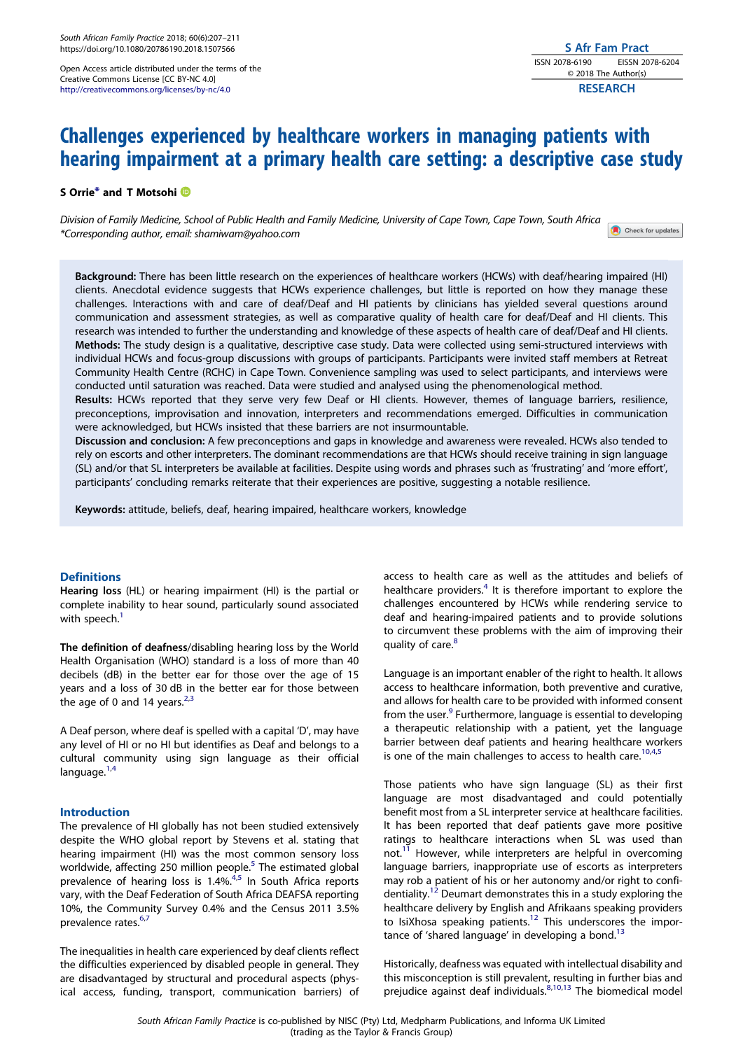<span id="page-0-0"></span>Open Access article distributed under the terms of the Creative Commons License [CC BY-NC 4.0] <http://creativecommons.org/licenses/by-nc/4.0>

# Challenges experienced by healthcare workers in managing patients with hearing impairment at a primary health care setting: a descriptive case study

## S Orrie<sup>\*</sup> and T Motsohi<sup>D</sup>

Division of Family Medicine, School of Public Health and Family Medicine, University of Cape Town, Cape Town, South Africa \*Corresponding author, email: [shamiwam@yahoo.com](mailto:shamiwam@yahoo.com)

Check for updates

Background: There has been little research on the experiences of healthcare workers (HCWs) with deaf/hearing impaired (HI) clients. Anecdotal evidence suggests that HCWs experience challenges, but little is reported on how they manage these challenges. Interactions with and care of deaf/Deaf and HI patients by clinicians has yielded several questions around communication and assessment strategies, as well as comparative quality of health care for deaf/Deaf and HI clients. This research was intended to further the understanding and knowledge of these aspects of health care of deaf/Deaf and HI clients. Methods: The study design is a qualitative, descriptive case study. Data were collected using semi-structured interviews with individual HCWs and focus-group discussions with groups of participants. Participants were invited staff members at Retreat Community Health Centre (RCHC) in Cape Town. Convenience sampling was used to select participants, and interviews were conducted until saturation was reached. Data were studied and analysed using the phenomenological method.

Results: HCWs reported that they serve very few Deaf or HI clients. However, themes of language barriers, resilience, preconceptions, improvisation and innovation, interpreters and recommendations emerged. Difficulties in communication were acknowledged, but HCWs insisted that these barriers are not insurmountable.

Discussion and conclusion: A few preconceptions and gaps in knowledge and awareness were revealed. HCWs also tended to rely on escorts and other interpreters. The dominant recommendations are that HCWs should receive training in sign language (SL) and/or that SL interpreters be available at facilities. Despite using words and phrases such as 'frustrating' and 'more effort', participants' concluding remarks reiterate that their experiences are positive, suggesting a notable resilience.

Keywords: attitude, beliefs, deaf, hearing impaired, healthcare workers, knowledge

# **Definitions**

Hearing loss (HL) or hearing impairment (HI) is the partial or complete inability to hear sound, particularly sound associated with speech.<sup>[1](#page-3-0)</sup>

The definition of deafness/disabling hearing loss by the World Health Organisation (WHO) standard is a loss of more than 40 decibels (dB) in the better ear for those over the age of 15 years and a loss of 30 dB in the better ear for those between the age of 0 and 14 years. $2,3$ 

A Deaf person, where deaf is spelled with a capital 'D', may have any level of HI or no HI but identifies as Deaf and belongs to a cultural community using sign language as their official language.<sup>[1](#page-3-0),[4](#page-3-0)</sup>

# Introduction

The prevalence of HI globally has not been studied extensively despite the WHO global report by Stevens et al. stating that hearing impairment (HI) was the most common sensory loss worldwide, affecting 2[5](#page-3-0)0 million people.<sup>5</sup> The estimated global prevalence of hearing loss is  $1.4\%$ ,  $4.5$  In South Africa reports vary, with the Deaf Federation of South Africa DEAFSA reporting 10%, the Community Survey 0.4% and the Census 2011 3.5% prevalence rates.<sup>[6](#page-3-0),[7](#page-3-0)</sup>

The inequalities in health care experienced by deaf clients reflect the difficulties experienced by disabled people in general. They are disadvantaged by structural and procedural aspects (physical access, funding, transport, communication barriers) of access to health care as well as the attitudes and beliefs of healthcare providers.<sup>[4](#page-3-0)</sup> It is therefore important to explore the challenges encountered by HCWs while rendering service to deaf and hearing-impaired patients and to provide solutions to circumvent these problems with the aim of improving their quality of care.<sup>[8](#page-3-0)</sup>

Language is an important enabler of the right to health. It allows access to healthcare information, both preventive and curative, and allows for health care to be provided with informed consent from the user.<sup>[9](#page-3-0)</sup> Furthermore, language is essential to developing a therapeutic relationship with a patient, yet the language barrier between deaf patients and hearing healthcare workers is one of the main challenges to access to health care.<sup>[10,4,5](#page-3-0)</sup>

Those patients who have sign language (SL) as their first language are most disadvantaged and could potentially benefit most from a SL interpreter service at healthcare facilities. It has been reported that deaf patients gave more positive ratings to healthcare interactions when SL was used than not.<sup>[11](#page-4-0)</sup> However, while interpreters are helpful in overcoming language barriers, inappropriate use of escorts as interpreters may rob a patient of his or her autonomy and/or right to confidentiality.[12](#page-4-0) Deumart demonstrates this in a study exploring the healthcare delivery by English and Afrikaans speaking providers to IsiXhosa speaking patients.<sup>[12](#page-4-0)</sup> This underscores the impor-tance of 'shared language' in developing a bond.<sup>[13](#page-4-0)</sup>

Historically, deafness was equated with intellectual disability and this misconception is still prevalent, resulting in further bias and prejudice against deaf individuals.<sup>8,10[,13](#page-4-0)</sup> The biomedical model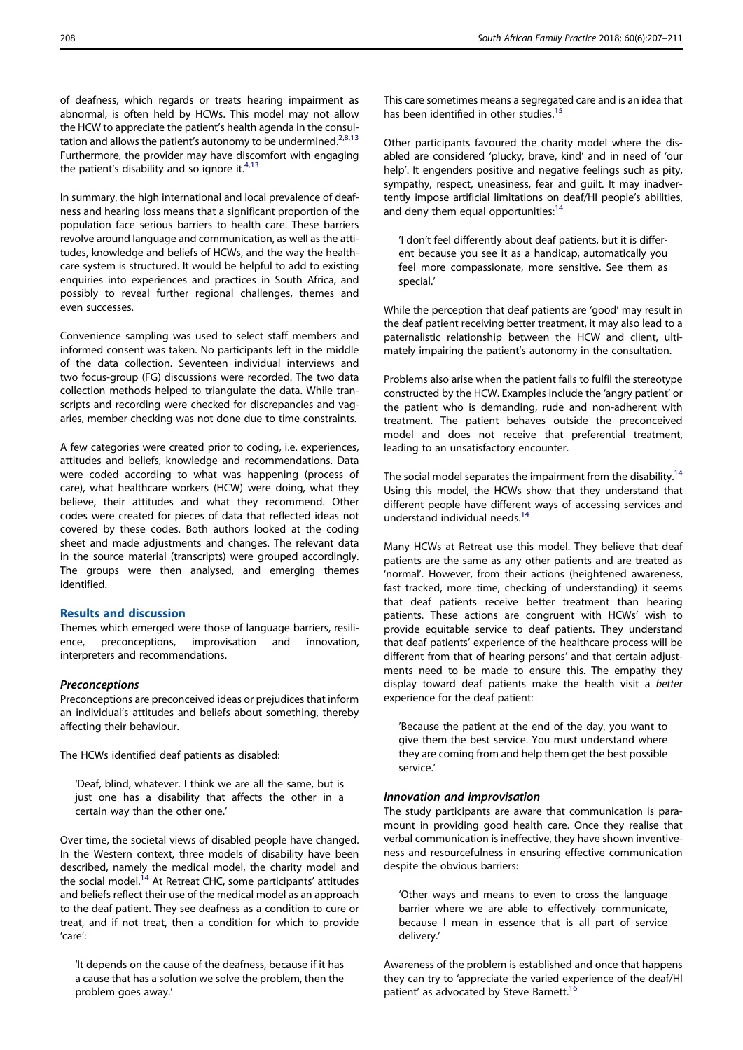<span id="page-1-0"></span>of deafness, which regards or treats hearing impairment as abnormal, is often held by HCWs. This model may not allow the HCW to appreciate the patient's health agenda in the consul-tation and allows the patient's autonomy to be undermined.<sup>2,8,[13](#page-4-0)</sup> Furthermore, the provider may have discomfort with engaging the patient's disability and so ignore it. $4,13$  $4,13$  $4,13$ 

In summary, the high international and local prevalence of deafness and hearing loss means that a significant proportion of the population face serious barriers to health care. These barriers revolve around language and communication, as well as the attitudes, knowledge and beliefs of HCWs, and the way the healthcare system is structured. It would be helpful to add to existing enquiries into experiences and practices in South Africa, and possibly to reveal further regional challenges, themes and even successes.

Convenience sampling was used to select staff members and informed consent was taken. No participants left in the middle of the data collection. Seventeen individual interviews and two focus-group (FG) discussions were recorded. The two data collection methods helped to triangulate the data. While transcripts and recording were checked for discrepancies and vagaries, member checking was not done due to time constraints.

A few categories were created prior to coding, i.e. experiences, attitudes and beliefs, knowledge and recommendations. Data were coded according to what was happening (process of care), what healthcare workers (HCW) were doing, what they believe, their attitudes and what they recommend. Other codes were created for pieces of data that reflected ideas not covered by these codes. Both authors looked at the coding sheet and made adjustments and changes. The relevant data in the source material (transcripts) were grouped accordingly. The groups were then analysed, and emerging themes identified.

#### Results and discussion

Themes which emerged were those of language barriers, resilience, preconceptions, improvisation and innovation, interpreters and recommendations.

#### Preconceptions

Preconceptions are preconceived ideas or prejudices that inform an individual's attitudes and beliefs about something, thereby affecting their behaviour.

The HCWs identified deaf patients as disabled:

'Deaf, blind, whatever. I think we are all the same, but is just one has a disability that affects the other in a certain way than the other one.'

Over time, the societal views of disabled people have changed. In the Western context, three models of disability have been described, namely the medical model, the charity model and the social model[.14](#page-4-0) At Retreat CHC, some participants' attitudes and beliefs reflect their use of the medical model as an approach to the deaf patient. They see deafness as a condition to cure or treat, and if not treat, then a condition for which to provide 'care':

'It depends on the cause of the deafness, because if it has a cause that has a solution we solve the problem, then the problem goes away.'

This care sometimes means a segregated care and is an idea that has been identified in other studies.<sup>[15](#page-4-0)</sup>

Other participants favoured the charity model where the disabled are considered 'plucky, brave, kind' and in need of 'our help'. It engenders positive and negative feelings such as pity, sympathy, respect, uneasiness, fear and guilt. It may inadvertently impose artificial limitations on deaf/HI people's abilities, and deny them equal opportunities:<sup>[14](#page-4-0)</sup>

'I don't feel differently about deaf patients, but it is different because you see it as a handicap, automatically you feel more compassionate, more sensitive. See them as special.'

While the perception that deaf patients are 'good' may result in the deaf patient receiving better treatment, it may also lead to a paternalistic relationship between the HCW and client, ultimately impairing the patient's autonomy in the consultation.

Problems also arise when the patient fails to fulfil the stereotype constructed by the HCW. Examples include the 'angry patient' or the patient who is demanding, rude and non-adherent with treatment. The patient behaves outside the preconceived model and does not receive that preferential treatment, leading to an unsatisfactory encounter.

The social model separates the impairment from the disability.<sup>14</sup> Using this model, the HCWs show that they understand that different people have different ways of accessing services and understand individual needs.<sup>[14](#page-4-0)</sup>

Many HCWs at Retreat use this model. They believe that deaf patients are the same as any other patients and are treated as 'normal'. However, from their actions (heightened awareness, fast tracked, more time, checking of understanding) it seems that deaf patients receive better treatment than hearing patients. These actions are congruent with HCWs' wish to provide equitable service to deaf patients. They understand that deaf patients' experience of the healthcare process will be different from that of hearing persons' and that certain adjustments need to be made to ensure this. The empathy they display toward deaf patients make the health visit a better experience for the deaf patient:

'Because the patient at the end of the day, you want to give them the best service. You must understand where they are coming from and help them get the best possible service.'

### Innovation and improvisation

The study participants are aware that communication is paramount in providing good health care. Once they realise that verbal communication is ineffective, they have shown inventiveness and resourcefulness in ensuring effective communication despite the obvious barriers:

'Other ways and means to even to cross the language barrier where we are able to effectively communicate, because I mean in essence that is all part of service delivery.'

Awareness of the problem is established and once that happens they can try to 'appreciate the varied experience of the deaf/HI patient' as advocated by Steve Barnett.<sup>[16](#page-4-0)</sup>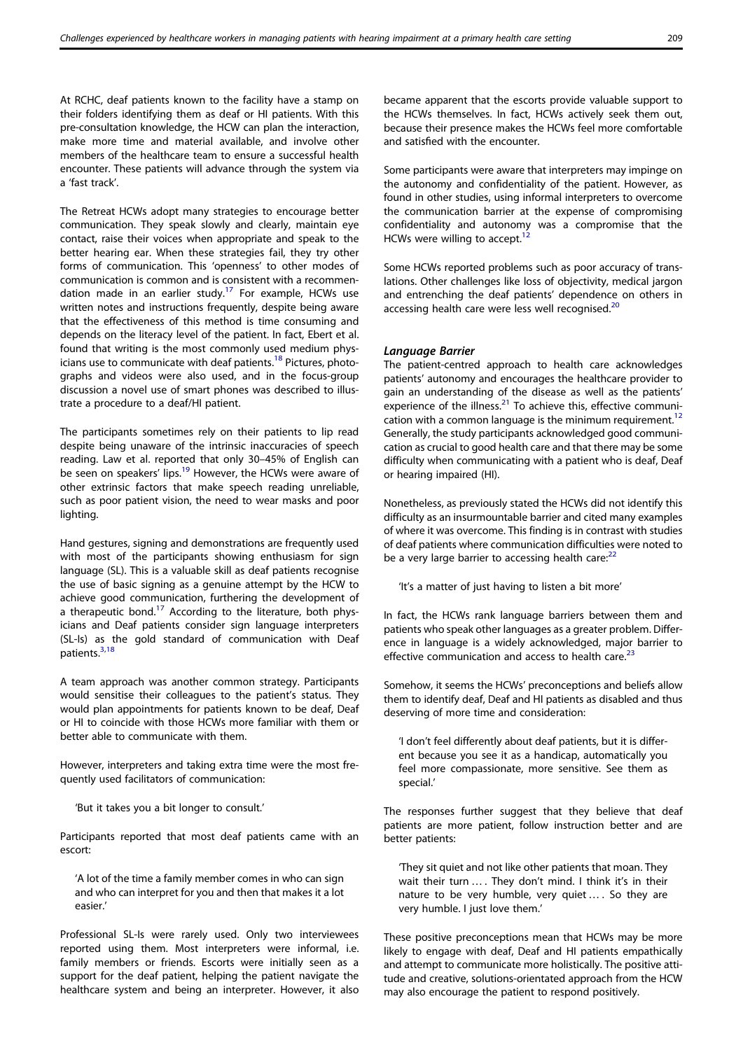<span id="page-2-0"></span>At RCHC, deaf patients known to the facility have a stamp on their folders identifying them as deaf or HI patients. With this pre-consultation knowledge, the HCW can plan the interaction, make more time and material available, and involve other members of the healthcare team to ensure a successful health encounter. These patients will advance through the system via a 'fast track'.

The Retreat HCWs adopt many strategies to encourage better communication. They speak slowly and clearly, maintain eye contact, raise their voices when appropriate and speak to the better hearing ear. When these strategies fail, they try other forms of communication. This 'openness' to other modes of communication is common and is consistent with a recommen-dation made in an earlier study.<sup>[17](#page-4-0)</sup> For example, HCWs use written notes and instructions frequently, despite being aware that the effectiveness of this method is time consuming and depends on the literacy level of the patient. In fact, Ebert et al. found that writing is the most commonly used medium phys-icians use to communicate with deaf patients.<sup>[18](#page-4-0)</sup> Pictures, photographs and videos were also used, and in the focus-group discussion a novel use of smart phones was described to illustrate a procedure to a deaf/HI patient.

The participants sometimes rely on their patients to lip read despite being unaware of the intrinsic inaccuracies of speech reading. Law et al. reported that only 30–45% of English can be seen on speakers' lips.<sup>[19](#page-4-0)</sup> However, the HCWs were aware of other extrinsic factors that make speech reading unreliable, such as poor patient vision, the need to wear masks and poor lighting.

Hand gestures, signing and demonstrations are frequently used with most of the participants showing enthusiasm for sign language (SL). This is a valuable skill as deaf patients recognise the use of basic signing as a genuine attempt by the HCW to achieve good communication, furthering the development of a therapeutic bond.<sup>[17](#page-4-0)</sup> According to the literature, both physicians and Deaf patients consider sign language interpreters (SL-Is) as the gold standard of communication with Deaf patients.<sup>[3,](#page-3-0)[18](#page-4-0)</sup>

A team approach was another common strategy. Participants would sensitise their colleagues to the patient's status. They would plan appointments for patients known to be deaf, Deaf or HI to coincide with those HCWs more familiar with them or better able to communicate with them.

However, interpreters and taking extra time were the most frequently used facilitators of communication:

'But it takes you a bit longer to consult.'

Participants reported that most deaf patients came with an escort:

'A lot of the time a family member comes in who can sign and who can interpret for you and then that makes it a lot easier.'

Professional SL-Is were rarely used. Only two interviewees reported using them. Most interpreters were informal, i.e. family members or friends. Escorts were initially seen as a support for the deaf patient, helping the patient navigate the healthcare system and being an interpreter. However, it also

became apparent that the escorts provide valuable support to the HCWs themselves. In fact, HCWs actively seek them out, because their presence makes the HCWs feel more comfortable and satisfied with the encounter.

Some participants were aware that interpreters may impinge on the autonomy and confidentiality of the patient. However, as found in other studies, using informal interpreters to overcome the communication barrier at the expense of compromising confidentiality and autonomy was a compromise that the HCWs were willing to accept. $<sup>1</sup>$ </sup>

Some HCWs reported problems such as poor accuracy of translations. Other challenges like loss of objectivity, medical jargon and entrenching the deaf patients' dependence on others in accessing health care were less well recognised.<sup>[20](#page-4-0)</sup>

## Language Barrier

The patient-centred approach to health care acknowledges patients' autonomy and encourages the healthcare provider to gain an understanding of the disease as well as the patients' experience of the illness. $21$  To achieve this, effective communication with a common language is the minimum requirement.<sup>12</sup> Generally, the study participants acknowledged good communication as crucial to good health care and that there may be some difficulty when communicating with a patient who is deaf, Deaf or hearing impaired (HI).

Nonetheless, as previously stated the HCWs did not identify this difficulty as an insurmountable barrier and cited many examples of where it was overcome. This finding is in contrast with studies of deaf patients where communication difficulties were noted to be a very large barrier to accessing health care:<sup>[22](#page-4-0)</sup>

'It's a matter of just having to listen a bit more'

In fact, the HCWs rank language barriers between them and patients who speak other languages as a greater problem. Difference in language is a widely acknowledged, major barrier to effective communication and access to health care.<sup>[23](#page-4-0)</sup>

Somehow, it seems the HCWs' preconceptions and beliefs allow them to identify deaf, Deaf and HI patients as disabled and thus deserving of more time and consideration:

'I don't feel differently about deaf patients, but it is different because you see it as a handicap, automatically you feel more compassionate, more sensitive. See them as special.'

The responses further suggest that they believe that deaf patients are more patient, follow instruction better and are better patients:

'They sit quiet and not like other patients that moan. They wait their turn .... They don't mind. I think it's in their nature to be very humble, very quiet … . So they are very humble. I just love them.'

These positive preconceptions mean that HCWs may be more likely to engage with deaf, Deaf and HI patients empathically and attempt to communicate more holistically. The positive attitude and creative, solutions-orientated approach from the HCW may also encourage the patient to respond positively.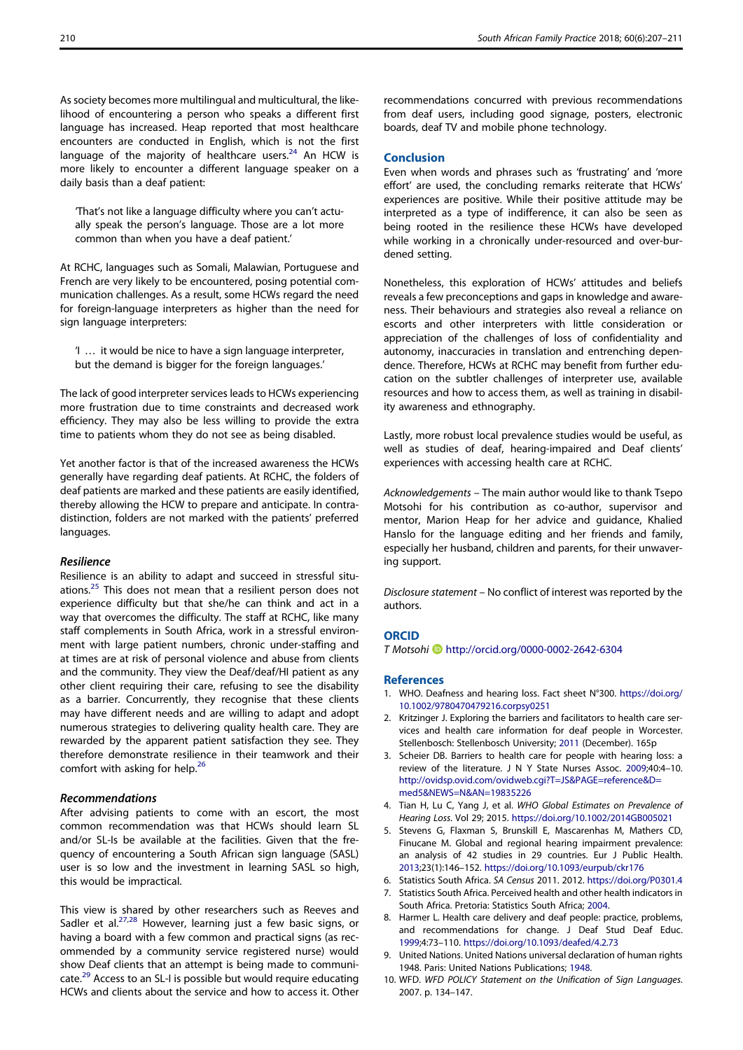<span id="page-3-0"></span>As society becomes more multilingual and multicultural, the likelihood of encountering a person who speaks a different first language has increased. Heap reported that most healthcare encounters are conducted in English, which is not the first language of the majority of healthcare users.<sup>24</sup> An HCW is more likely to encounter a different language speaker on a daily basis than a deaf patient:

'That's not like a language difficulty where you can't actually speak the person's language. Those are a lot more common than when you have a deaf patient.'

At RCHC, languages such as Somali, Malawian, Portuguese and French are very likely to be encountered, posing potential communication challenges. As a result, some HCWs regard the need for foreign-language interpreters as higher than the need for sign language interpreters:

'I … it would be nice to have a sign language interpreter, but the demand is bigger for the foreign languages.'

The lack of good interpreter services leads to HCWs experiencing more frustration due to time constraints and decreased work efficiency. They may also be less willing to provide the extra time to patients whom they do not see as being disabled.

Yet another factor is that of the increased awareness the HCWs generally have regarding deaf patients. At RCHC, the folders of deaf patients are marked and these patients are easily identified, thereby allowing the HCW to prepare and anticipate. In contradistinction, folders are not marked with the patients' preferred languages.

#### Resilience

Resilience is an ability to adapt and succeed in stressful situ-ations.<sup>[25](#page-4-0)</sup> This does not mean that a resilient person does not experience difficulty but that she/he can think and act in a way that overcomes the difficulty. The staff at RCHC, like many staff complements in South Africa, work in a stressful environment with large patient numbers, chronic under-staffing and at times are at risk of personal violence and abuse from clients and the community. They view the Deaf/deaf/HI patient as any other client requiring their care, refusing to see the disability as a barrier. Concurrently, they recognise that these clients may have different needs and are willing to adapt and adopt numerous strategies to delivering quality health care. They are rewarded by the apparent patient satisfaction they see. They therefore demonstrate resilience in their teamwork and their comfort with asking for help.<sup>[26](#page-4-0)</sup>

## Recommendations

After advising patients to come with an escort, the most common recommendation was that HCWs should learn SL and/or SL-Is be available at the facilities. Given that the frequency of encountering a South African sign language (SASL) user is so low and the investment in learning SASL so high, this would be impractical.

This view is shared by other researchers such as Reeves and Sadler et al.<sup>[27,28](#page-4-0)</sup> However, learning just a few basic signs, or having a board with a few common and practical signs (as recommended by a community service registered nurse) would show Deaf clients that an attempt is being made to communicate.[29](#page-4-0) Access to an SL-I is possible but would require educating HCWs and clients about the service and how to access it. Other recommendations concurred with previous recommendations from deaf users, including good signage, posters, electronic boards, deaf TV and mobile phone technology.

## Conclusion

Even when words and phrases such as 'frustrating' and 'more effort' are used, the concluding remarks reiterate that HCWs' experiences are positive. While their positive attitude may be interpreted as a type of indifference, it can also be seen as being rooted in the resilience these HCWs have developed while working in a chronically under-resourced and over-burdened setting.

Nonetheless, this exploration of HCWs' attitudes and beliefs reveals a few preconceptions and gaps in knowledge and awareness. Their behaviours and strategies also reveal a reliance on escorts and other interpreters with little consideration or appreciation of the challenges of loss of confidentiality and autonomy, inaccuracies in translation and entrenching dependence. Therefore, HCWs at RCHC may benefit from further education on the subtler challenges of interpreter use, available resources and how to access them, as well as training in disability awareness and ethnography.

Lastly, more robust local prevalence studies would be useful, as well as studies of deaf, hearing-impaired and Deaf clients' experiences with accessing health care at RCHC.

Acknowledgements – The main author would like to thank Tsepo Motsohi for his contribution as co-author, supervisor and mentor, Marion Heap for her advice and guidance, Khalied Hanslo for the language editing and her friends and family, especially her husband, children and parents, for their unwavering support.

Disclosure statement – No conflict of interest was reported by the authors.

#### ORCID

T Motsohi <http://orcid.org/0000-0002-2642-6304>

#### References

- 1. WHO. Deafness and hearing loss. Fact sheet N°300. [https://doi.org/](https://doi.org/10.1002/9780470479216.corpsy0251) [10.1002/9780470479216.corpsy0251](https://doi.org/10.1002/9780470479216.corpsy0251)
- 2. Kritzinger J. Exploring the barriers and facilitators to health care services and health care information for deaf people in Worcester. Stellenbosch: Stellenbosch University; [2011](#page-0-0) (December). 165p
- 3. Scheier DB. Barriers to health care for people with hearing loss: a review of the literature. J N Y State Nurses Assoc. [2009](#page-0-0);40:4–10. [http://ovidsp.ovid.com/ovidweb.cgi?T=JS&PAGE=reference&D=](http://ovidsp.ovid.com/ovidweb.cgi?T=JS%26PAGE=reference%26D=med5%26NEWS=N%26AN=19835226) [med5&NEWS=N&AN=19835226](http://ovidsp.ovid.com/ovidweb.cgi?T=JS%26PAGE=reference%26D=med5%26NEWS=N%26AN=19835226)
- 4. Tian H, Lu C, Yang J, et al. WHO Global Estimates on Prevalence of Hearing Loss. Vol 29; 2015. <https://doi.org/10.1002/2014GB005021>
- 5. Stevens G, Flaxman S, Brunskill E, Mascarenhas M, Mathers CD, Finucane M. Global and regional hearing impairment prevalence: an analysis of 42 studies in 29 countries. Eur J Public Health. [2013](#page-0-0);23(1):146–152. <https://doi.org/10.1093/eurpub/ckr176>
- 6. Statistics South Africa. SA Census 2011. 2012. <https://doi.org/P0301.4>
- 7. Statistics South Africa. Perceived health and other health indicators in South Africa. Pretoria: Statistics South Africa; [2004](#page-0-0).
- 8. Harmer L. Health care delivery and deaf people: practice, problems, and recommendations for change. J Deaf Stud Deaf Educ. [1999](#page-0-0);4:73–110. <https://doi.org/10.1093/deafed/4.2.73>
- 9. United Nations. United Nations universal declaration of human rights 1948. Paris: United Nations Publications; [1948.](#page-0-0)
- 10. WFD. WFD POLICY Statement on the Unification of Sign Languages. 2007. p. 134–147.